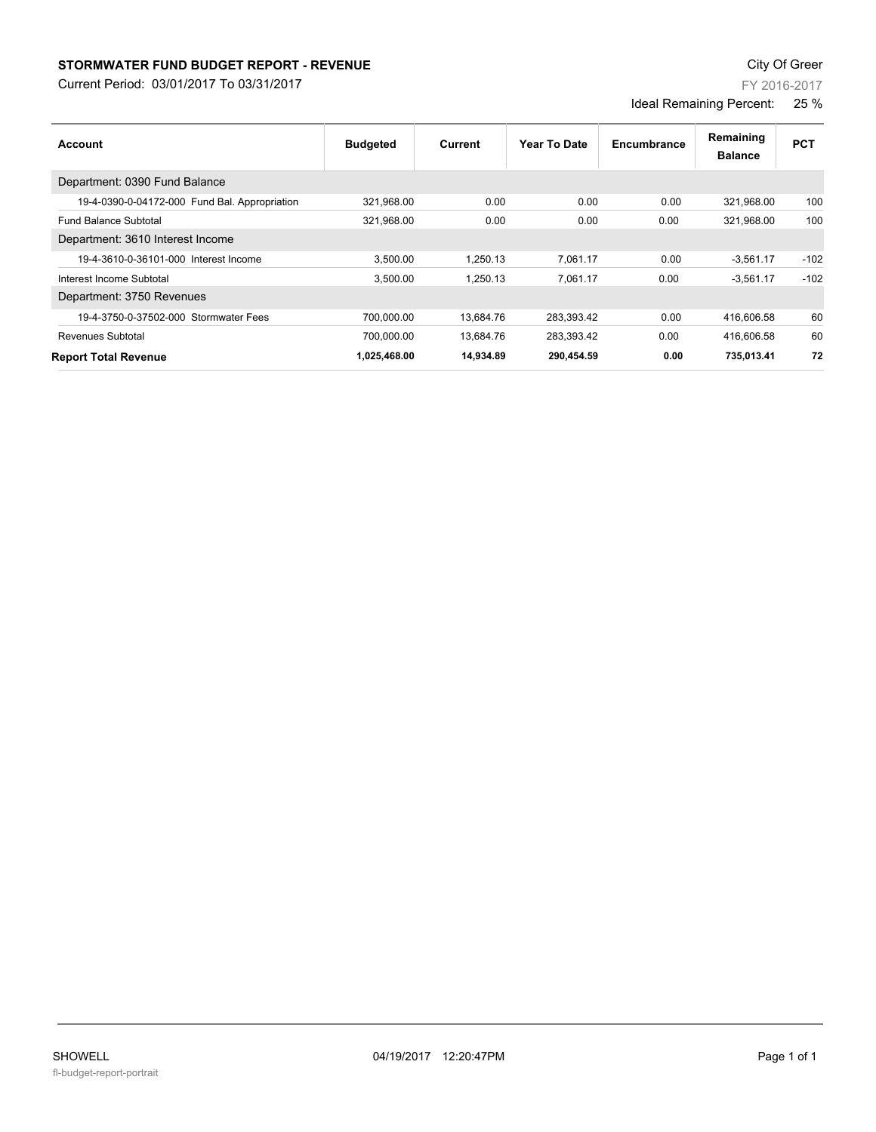## **STORMWATER FUND BUDGET REPORT - REVENUE CONSTANT CONSTANT CONSTANT CONSTANT CONSTANT CONSTANT CONSTANT CONSTANT**

Current Period: 03/01/2017 To 03/31/2017

Department: 0390 Fund Balance

Department: 3610 Interest Income

Department: 3750 Revenues

| <b>Report Total Revenue</b> | 1,025,468.00 | 14,934.89 | 290,454.59 | 0.00 | 735,013.41 | 72 |
|-----------------------------|--------------|-----------|------------|------|------------|----|
|                             |              |           |            |      |            |    |
|                             |              |           |            |      |            |    |
|                             |              |           |            |      |            |    |
|                             |              |           |            |      |            |    |
|                             |              |           |            |      |            |    |
|                             |              |           |            |      |            |    |
|                             |              |           |            |      |            |    |

**Account Year To Date Encumbrance**

19-4-0390-0-04172-000 Fund Bal. Appropriation 321,968.00 0.00 0.00 0.00 321,968.00 100 Fund Balance Subtotal 321,968.00 0.00 0.00 0.00 321,968.00 100

19-4-3610-0-36101-000 Interest Income 3,500.00 1,250.13 7,061.17 0.00 -3,561.17 -102 Interest Income Subtotal 3,500.00 1,250.13 7,061.17 0.00 -3,561.17 -102

19-4-3750-0-37502-000 Stormwater Fees 700,000.00 13,684.76 283,393.42 0.00 416,606.58 60 Revenues Subtotal 700,000.00 13,684.76 283,393.42 0.00 416,606.58 60

**Budgeted** 

## FY 2016-2017

**Balance Remaining PCT** 

Ideal Remaining Percent: 25 %